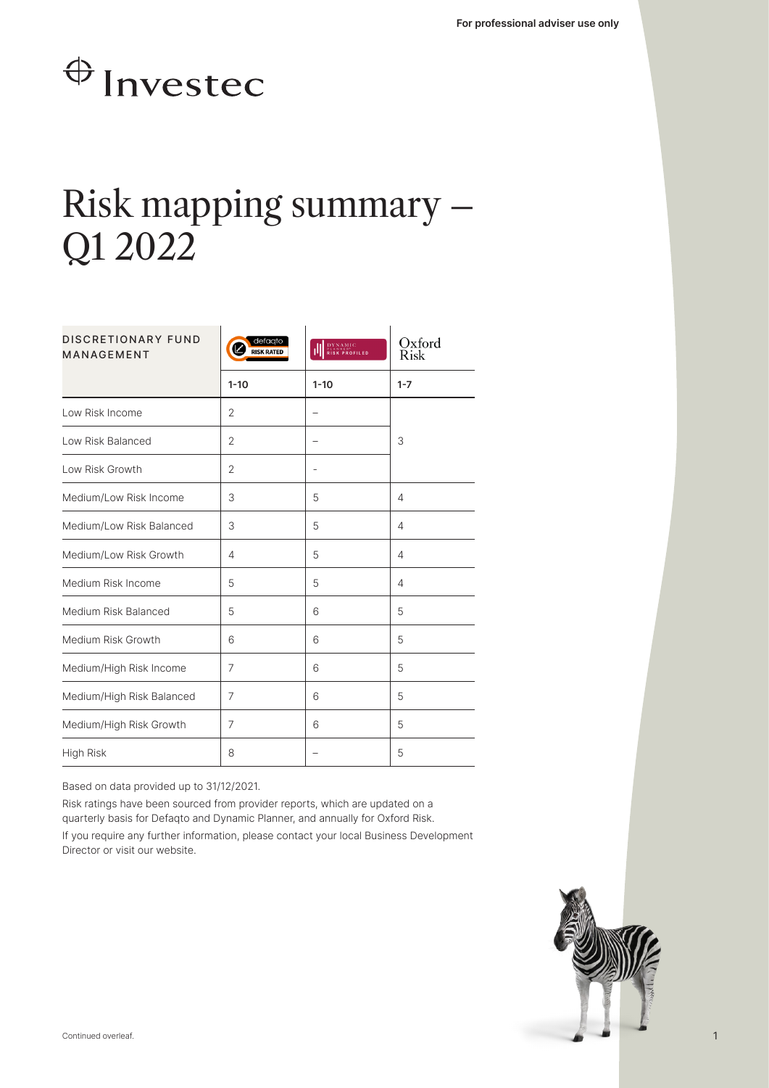## $\bigoplus$  Investec

## Risk mapping summary – Q1 2022

| <b>DISCRETIONARY FUND</b><br><b>MANAGEMENT</b> | defaato<br><b>NSK RATED</b> | <b>DYNAMIC</b><br><b>RISK PROFILED</b> | Oxford<br><b>Risk</b> |  |
|------------------------------------------------|-----------------------------|----------------------------------------|-----------------------|--|
|                                                | $1 - 10$                    | $1 - 10$                               | $1 - 7$               |  |
| Low Risk Income                                | $\overline{2}$              |                                        |                       |  |
| Low Risk Balanced                              | 2                           |                                        | 3                     |  |
| Low Risk Growth                                | $\overline{2}$              |                                        |                       |  |
| Medium/Low Risk Income                         | 3                           | 5                                      | 4                     |  |
| Medium/Low Risk Balanced                       | 3                           | 5                                      | 4                     |  |
| Medium/Low Risk Growth                         | 4                           | 5                                      | 4                     |  |
| Medium Risk Income                             | 5                           | 5                                      | 4                     |  |
| Medium Risk Balanced                           | 5                           | 6                                      | 5                     |  |
| Medium Risk Growth                             | 6                           | 6                                      | 5                     |  |
| Medium/High Risk Income                        | 7                           | 6                                      | 5                     |  |
| Medium/High Risk Balanced                      | 7                           | 6                                      | 5                     |  |
| Medium/High Risk Growth                        | 7                           | 6                                      | 5                     |  |
| High Risk                                      | 8                           |                                        | 5                     |  |

Based on data provided up to 31/12/2021.

Risk ratings have been sourced from provider reports, which are updated on a quarterly basis for Defaqto and Dynamic Planner, and annually for Oxford Risk.

If you require any further information, please contact your local Business Development Director or visit our website.